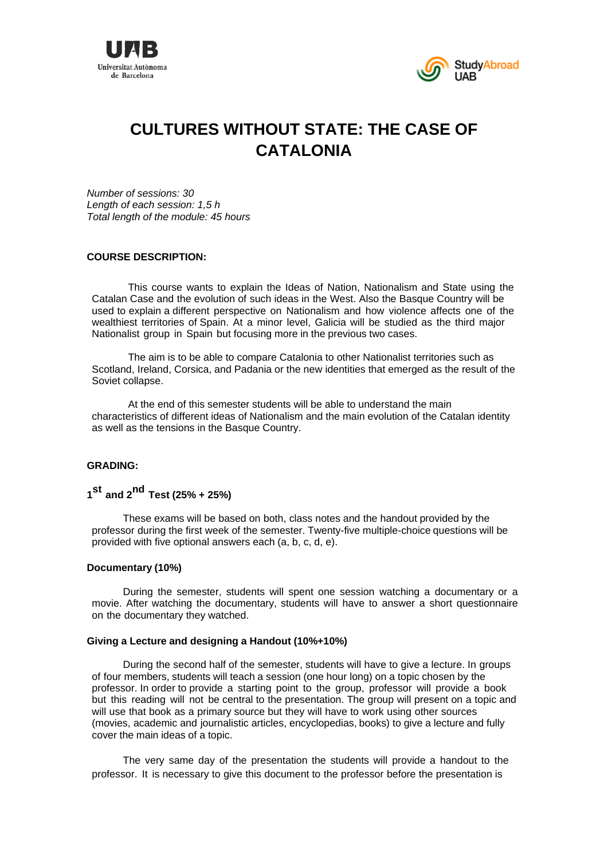



# **CULTURES WITHOUT STATE: THE CASE OF CATALONIA**

*Number of sessions: 30 Length of each session: 1,5 h Total length of the module: 45 hours* 

# **COURSE DESCRIPTION:**

This course wants to explain the Ideas of Nation, Nationalism and State using the Catalan Case and the evolution of such ideas in the West. Also the Basque Country will be used to explain a different perspective on Nationalism and how violence affects one of the wealthiest territories of Spain. At a minor level, Galicia will be studied as the third major Nationalist group in Spain but focusing more in the previous two cases.

The aim is to be able to compare Catalonia to other Nationalist territories such as Scotland, Ireland, Corsica, and Padania or the new identities that emerged as the result of the Soviet collapse.

At the end of this semester students will be able to understand the main characteristics of different ideas of Nationalism and the main evolution of the Catalan identity as well as the tensions in the Basque Country.

# **GRADING:**

# **<sup>1</sup>st and 2nd Test (25% + 25%)**

These exams will be based on both, class notes and the handout provided by the professor during the first week of the semester. Twenty-five multiple-choice questions will be provided with five optional answers each (a, b, c, d, e).

#### **Documentary (10%)**

During the semester, students will spent one session watching a documentary or a movie. After watching the documentary, students will have to answer a short questionnaire on the documentary they watched.

#### **Giving a Lecture and designing a Handout (10%+10%)**

During the second half of the semester, students will have to give a lecture. In groups of four members, students will teach a session (one hour long) on a topic chosen by the professor. In order to provide a starting point to the group, professor will provide a book but this reading will not be central to the presentation. The group will present on a topic and will use that book as a primary source but they will have to work using other sources (movies, academic and journalistic articles, encyclopedias, books) to give a lecture and fully cover the main ideas of a topic.

The very same day of the presentation the students will provide a handout to the professor. It is necessary to give this document to the professor before the presentation is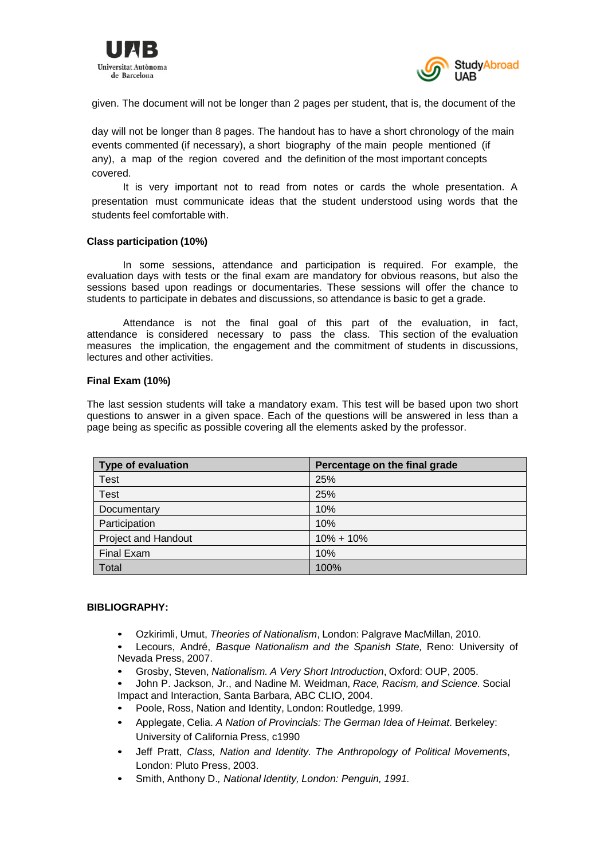



given. The document will not be longer than 2 pages per student, that is, the document of the

day will not be longer than 8 pages. The handout has to have a short chronology of the main events commented (if necessary), a short biography of the main people mentioned (if any), a map of the region covered and the definition of the most important concepts covered.

It is very important not to read from notes or cards the whole presentation. A presentation must communicate ideas that the student understood using words that the students feel comfortable with.

## **Class participation (10%)**

In some sessions, attendance and participation is required. For example, the evaluation days with tests or the final exam are mandatory for obvious reasons, but also the sessions based upon readings or documentaries. These sessions will offer the chance to students to participate in debates and discussions, so attendance is basic to get a grade.

Attendance is not the final goal of this part of the evaluation, in fact, attendance is considered necessary to pass the class. This section of the evaluation measures the implication, the engagement and the commitment of students in discussions, lectures and other activities.

## **Final Exam (10%)**

The last session students will take a mandatory exam. This test will be based upon two short questions to answer in a given space. Each of the questions will be answered in less than a page being as specific as possible covering all the elements asked by the professor.

| <b>Type of evaluation</b>  | Percentage on the final grade |
|----------------------------|-------------------------------|
| <b>Test</b>                | 25%                           |
| <b>Test</b>                | 25%                           |
| Documentary                | 10%                           |
| Participation              | 10%                           |
| <b>Project and Handout</b> | $10\% + 10\%$                 |
| <b>Final Exam</b>          | 10%                           |
| Total                      | 100%                          |

# **BIBLIOGRAPHY:**

- Ozkirimli, Umut, *Theories of Nationalism*, London: Palgrave MacMillan, 2010.
- Lecours, André, *Basque Nationalism and the Spanish State,* Reno: University of Nevada Press, 2007.
- Grosby, Steven, *Nationalism. A Very Short Introduction*, Oxford: OUP, 2005.
- John P. Jackson, Jr., and Nadine M. Weidman, *Race, Racism, and Science.* Social Impact and Interaction, Santa Barbara, ABC CLIO, 2004.
- Poole, Ross, Nation and Identity, London: Routledge, 1999.
- Applegate, Celia. *A Nation of Provincials: The German Idea of Heimat*. Berkeley: University of California Press, c1990
- Jeff Pratt, *Class, Nation and Identity. The Anthropology of Political Movements*, London: Pluto Press, 2003.
- Smith, Anthony D.*, National Identity, London: Penguin, 1991.*